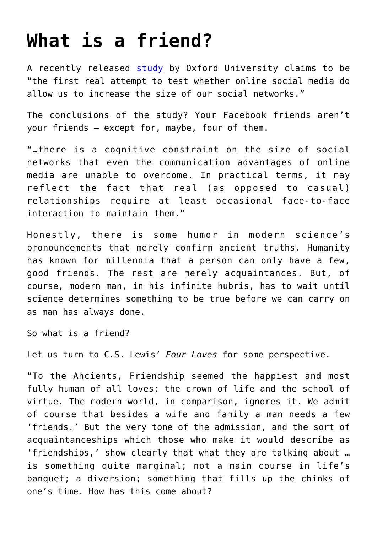## **[What is a friend?](https://intellectualtakeout.org/2016/02/what-is-a-friend/)**

A recently released [study](http://rsos.royalsocietypublishing.org/content/3/1/150292) by Oxford University claims to be "the first real attempt to test whether online social media do allow us to increase the size of our social networks."

The conclusions of the study? Your Facebook friends aren't your friends – except for, maybe, four of them.

"…there is a cognitive constraint on the size of social networks that even the communication advantages of online media are unable to overcome. In practical terms, it may reflect the fact that real (as opposed to casual) relationships require at least occasional face-to-face interaction to maintain them."

Honestly, there is some humor in modern science's pronouncements that merely confirm ancient truths. Humanity has known for millennia that a person can only have a few, good friends. The rest are merely acquaintances. But, of course, modern man, in his infinite hubris, has to wait until science determines something to be true before we can carry on as man has always done.

So what is a friend?

Let us turn to C.S. Lewis' *Four Loves* for some perspective.

"To the Ancients, Friendship seemed the happiest and most fully human of all loves; the crown of life and the school of virtue. The modern world, in comparison, ignores it. We admit of course that besides a wife and family a man needs a few 'friends.' But the very tone of the admission, and the sort of acquaintanceships which those who make it would describe as 'friendships,' show clearly that what they are talking about … is something quite marginal; not a main course in life's banquet; a diversion; something that fills up the chinks of one's time. How has this come about?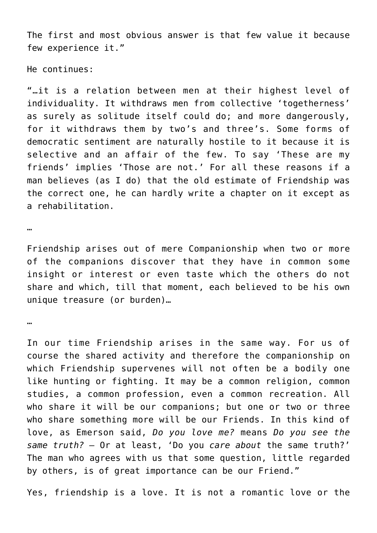The first and most obvious answer is that few value it because few experience it."

He continues:

"…it is a relation between men at their highest level of individuality. It withdraws men from collective 'togetherness' as surely as solitude itself could do; and more dangerously, for it withdraws them by two's and three's. Some forms of democratic sentiment are naturally hostile to it because it is selective and an affair of the few. To say 'These are my friends' implies 'Those are not.' For all these reasons if a man believes (as I do) that the old estimate of Friendship was the correct one, he can hardly write a chapter on it except as a rehabilitation.

…

Friendship arises out of mere Companionship when two or more of the companions discover that they have in common some insight or interest or even taste which the others do not share and which, till that moment, each believed to be his own unique treasure (or burden)…

…

In our time Friendship arises in the same way. For us of course the shared activity and therefore the companionship on which Friendship supervenes will not often be a bodily one like hunting or fighting. It may be a common religion, common studies, a common profession, even a common recreation. All who share it will be our companions; but one or two or three who share something more will be our Friends. In this kind of love, as Emerson said, *Do you love me?* means *Do you see the same truth? –* Or at least, 'Do you *care about* the same truth?' The man who agrees with us that some question, little regarded by others, is of great importance can be our Friend."

Yes, friendship is a love. It is not a romantic love or the